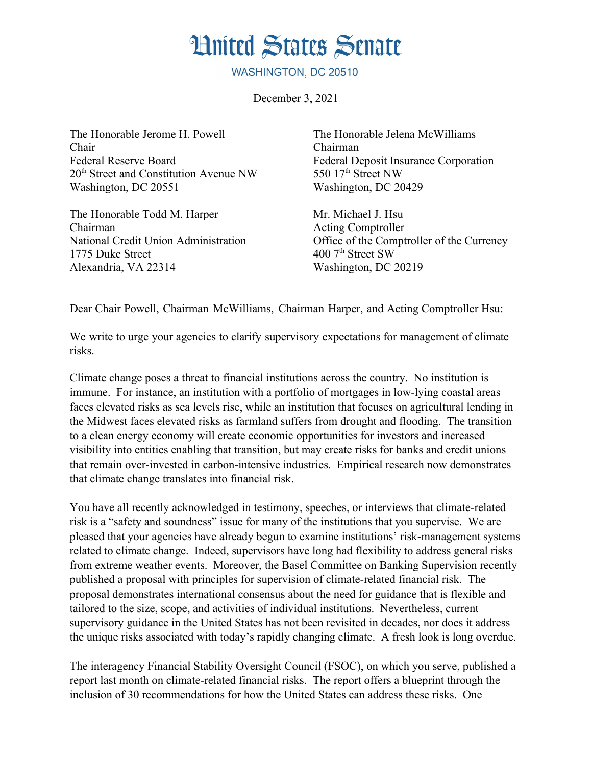## **Hnited States Senate**

WASHINGTON, DC 20510

December 3, 2021

The Honorable Jerome H. Powell Chair Federal Reserve Board 20th Street and Constitution Avenue NW Washington, DC 20551

The Honorable Todd M. Harper Chairman National Credit Union Administration 1775 Duke Street Alexandria, VA 22314

The Honorable Jelena McWilliams Chairman Federal Deposit Insurance Corporation 550 17th Street NW Washington, DC 20429

Mr. Michael J. Hsu Acting Comptroller Office of the Comptroller of the Currency 400 7<sup>th</sup> Street SW Washington, DC 20219

Dear Chair Powell, Chairman McWilliams, Chairman Harper, and Acting Comptroller Hsu:

We write to urge your agencies to clarify supervisory expectations for management of climate risks.

Climate change poses a threat to financial institutions across the country. No institution is immune. For instance, an institution with a portfolio of mortgages in low-lying coastal areas faces elevated risks as sea levels rise, while an institution that focuses on agricultural lending in the Midwest faces elevated risks as farmland suffers from drought and flooding. The transition to a clean energy economy will create economic opportunities for investors and increased visibility into entities enabling that transition, but may create risks for banks and credit unions that remain over-invested in carbon-intensive industries. Empirical research now demonstrates that climate change translates into financial risk.

You have all recently acknowledged in testimony, speeches, or interviews that climate-related risk is a "safety and soundness" issue for many of the institutions that you supervise. We are pleased that your agencies have already begun to examine institutions' risk-management systems related to climate change. Indeed, supervisors have long had flexibility to address general risks from extreme weather events. Moreover, the Basel Committee on Banking Supervision recently published a proposal with principles for supervision of climate-related financial risk. The proposal demonstrates international consensus about the need for guidance that is flexible and tailored to the size, scope, and activities of individual institutions. Nevertheless, current supervisory guidance in the United States has not been revisited in decades, nor does it address the unique risks associated with today's rapidly changing climate. A fresh look is long overdue.

The interagency Financial Stability Oversight Council (FSOC), on which you serve, published a report last month on climate-related financial risks. The report offers a blueprint through the inclusion of 30 recommendations for how the United States can address these risks. One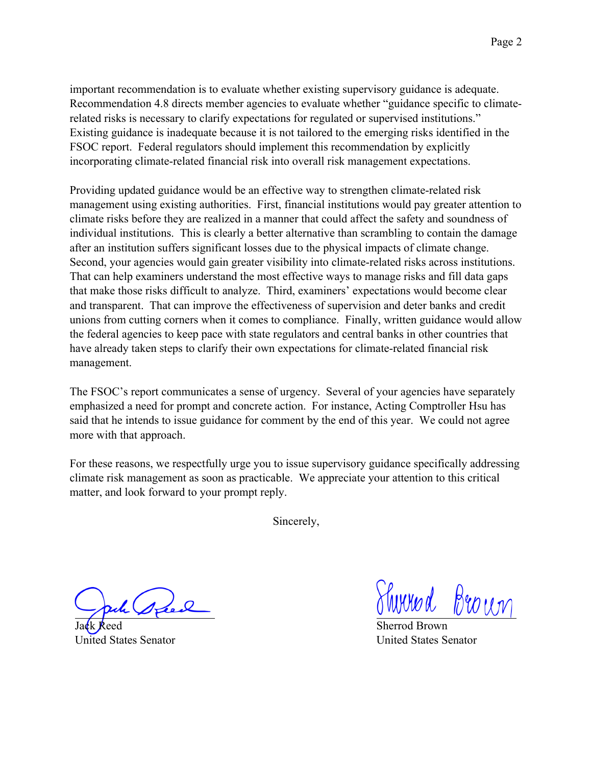important recommendation is to evaluate whether existing supervisory guidance is adequate. Recommendation 4.8 directs member agencies to evaluate whether "guidance specific to climaterelated risks is necessary to clarify expectations for regulated or supervised institutions." Existing guidance is inadequate because it is not tailored to the emerging risks identified in the FSOC report. Federal regulators should implement this recommendation by explicitly incorporating climate-related financial risk into overall risk management expectations.

Providing updated guidance would be an effective way to strengthen climate-related risk management using existing authorities. First, financial institutions would pay greater attention to climate risks before they are realized in a manner that could affect the safety and soundness of individual institutions. This is clearly a better alternative than scrambling to contain the damage after an institution suffers significant losses due to the physical impacts of climate change. Second, your agencies would gain greater visibility into climate-related risks across institutions. That can help examiners understand the most effective ways to manage risks and fill data gaps that make those risks difficult to analyze. Third, examiners' expectations would become clear and transparent. That can improve the effectiveness of supervision and deter banks and credit unions from cutting corners when it comes to compliance. Finally, written guidance would allow the federal agencies to keep pace with state regulators and central banks in other countries that have already taken steps to clarify their own expectations for climate-related financial risk management.

The FSOC's report communicates a sense of urgency. Several of your agencies have separately emphasized a need for prompt and concrete action. For instance, Acting Comptroller Hsu has said that he intends to issue guidance for comment by the end of this year. We could not agree more with that approach.

For these reasons, we respectfully urge you to issue supervisory guidance specifically addressing climate risk management as soon as practicable. We appreciate your attention to this critical matter, and look forward to your prompt reply.

Sincerely,

Jack Reed United States Senator

Shirred Brown

Sherrod Brown United States Senator